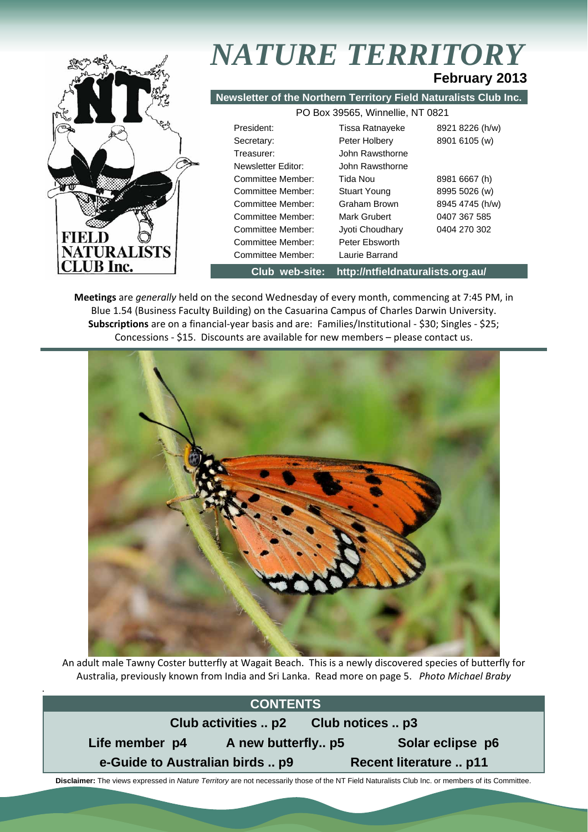

.

## *NATURE TERRITORY* **February 2013**

#### **Newsletter of the Northern Territory Field Naturalists Club Inc.**

| PO Box 39565, Winnellie, NT 0821 |                     |                 |  |  |  |
|----------------------------------|---------------------|-----------------|--|--|--|
| President:                       | Tissa Ratnayeke     | 8921 8226 (h/w) |  |  |  |
| Secretary:                       | Peter Holbery       | 8901 6105 (w)   |  |  |  |
| Treasurer:                       | John Rawsthorne     |                 |  |  |  |
| Newsletter Editor:               | John Rawsthorne     |                 |  |  |  |
| Committee Member:                | Tida Nou            | 8981 6667 (h)   |  |  |  |
| Committee Member:                | <b>Stuart Young</b> | 8995 5026 (w)   |  |  |  |
| Committee Member:                | Graham Brown        | 8945 4745 (h/w) |  |  |  |
| Committee Member:                | Mark Grubert        | 0407 367 585    |  |  |  |
| Committee Member:                | Jyoti Choudhary     | 0404 270 302    |  |  |  |
| Committee Member:                | Peter Ebsworth      |                 |  |  |  |
| Committee Member:                | Laurie Barrand      |                 |  |  |  |
|                                  |                     |                 |  |  |  |

**Club web-site: http://ntfieldnaturalists.org.au/** 

**Meetings** are *generally* held on the second Wednesday of every month, commencing at 7:45 PM, in Blue 1.54 (Business Faculty Building) on the Casuarina Campus of Charles Darwin University. **Subscriptions** are on a financial‐year basis and are: Families/Institutional ‐ \$30; Singles ‐ \$25; Concessions ‐ \$15. Discounts are available for new members – please contact us.



An adult male Tawny Coster butterfly at Wagait Beach. This is a newly discovered species of butterfly for Australia, previously known from India and Sri Lanka. Read more on page 5. *Photo Michael Braby*

### **CONTENTS**



 **Disclaimer:** The views expressed in *Nature Territory* are not necessarily those of the NT Field Naturalists Club Inc. or members of its Committee.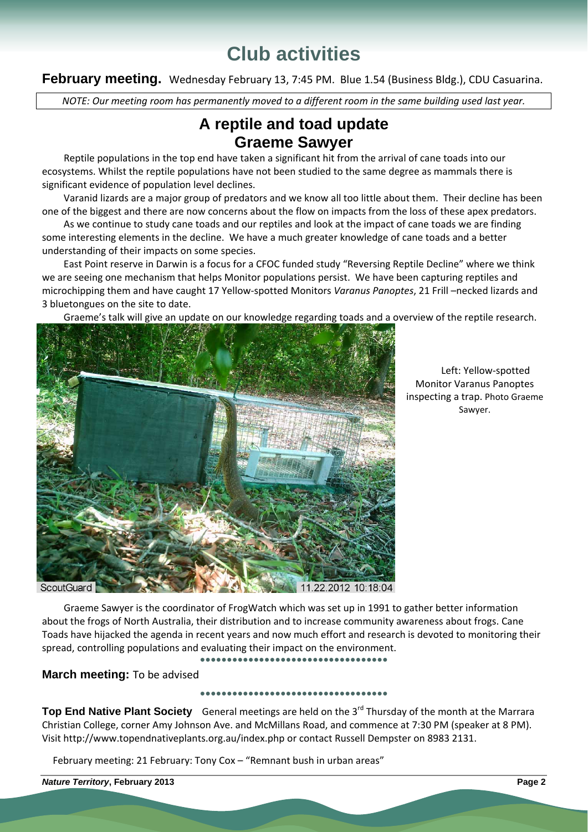# **Club activities**

February meeting. Wednesday February 13, 7:45 PM. Blue 1.54 (Business Bldg.), CDU Casuarina.

NOTE: Our meeting room has permanently moved to a different room in the same building used last year.

### **A reptile and toad update Graeme Sawyer**

Reptile populations in the top end have taken a significant hit from the arrival of cane toads into our ecosystems. Whilst the reptile populations have not been studied to the same degree as mammals there is significant evidence of population level declines.

Varanid lizards are a major group of predators and we know all too little about them. Their decline has been one of the biggest and there are now concerns about the flow on impacts from the loss of these apex predators.

As we continue to study cane toads and our reptiles and look at the impact of cane toads we are finding some interesting elements in the decline. We have a much greater knowledge of cane toads and a better understanding of their impacts on some species.

East Point reserve in Darwin is a focus for a CFOC funded study "Reversing Reptile Decline" where we think we are seeing one mechanism that helps Monitor populations persist. We have been capturing reptiles and microchipping them and have caught 17 Yellow‐spotted Monitors *Varanus Panoptes*, 21 Frill –necked lizards and 3 bluetongues on the site to date.

Graeme's talk will give an update on our knowledge regarding toads and a overview of the reptile research.



Left: Yellow‐spotted Monitor Varanus Panoptes inspecting a trap. Photo Graeme Sawyer.

Graeme Sawyer is the coordinator of FrogWatch which was set up in 1991 to gather better information about the frogs of North Australia, their distribution and to increase community awareness about frogs. Cane Toads have hijacked the agenda in recent years and now much effort and research is devoted to monitoring their spread, controlling populations and evaluating their impact on the environment.

**●●●●●●●●●●●●●●●●●●●●●●●●●●●●●●●●●●●**

**March meeting:** To be advised

**●●●●●●●●●●●●●●●●●●●●●●●●●●●●●●●●●●●**

**Top End Native Plant Society** General meetings are held on the 3<sup>rd</sup> Thursday of the month at the Marrara Christian College, corner Amy Johnson Ave. and McMillans Road, and commence at 7:30 PM (speaker at 8 PM). Visit http://www.topendnativeplants.org.au/index.php or contact Russell Dempster on 8983 2131.

February meeting: 21 February: Tony Cox – "Remnant bush in urban areas"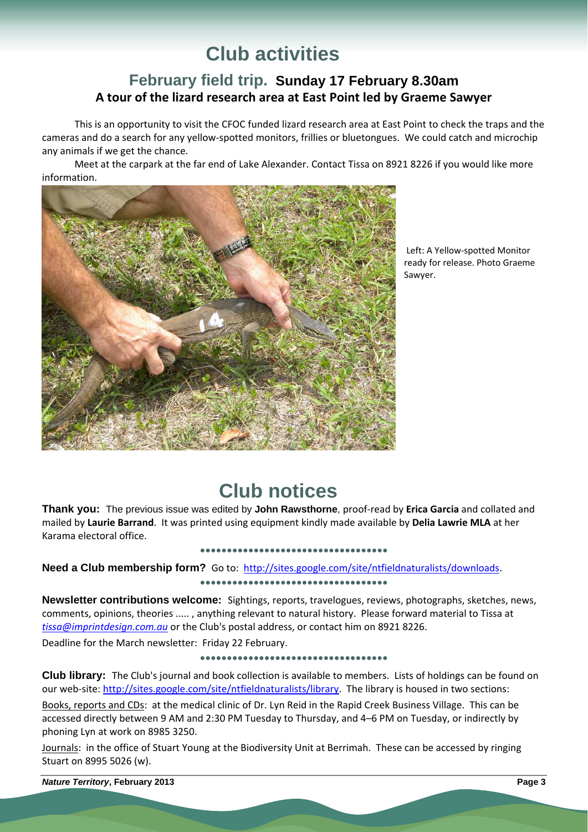# **Club activities**

### **February field trip. Sunday 17 February 8.30am A tour of the lizard research area at East Point led by Graeme Sawyer**

This is an opportunity to visit the CFOC funded lizard research area at East Point to check the traps and the cameras and do a search for any yellow‐spotted monitors, frillies or bluetongues. We could catch and microchip any animals if we get the chance.

Meet at the carpark at the far end of Lake Alexander. Contact Tissa on 8921 8226 if you would like more information.



Left: A Yellow‐spotted Monitor ready for release. Photo Graeme Sawyer.

### **Club notices**

**Thank you:** The previous issue was edited by **John Rawsthorne**, proof‐read by **Erica Garcia** and collated and mailed by **Laurie Barrand**. It was printed using equipment kindly made available by **Delia Lawrie MLA** at her Karama electoral office.

#### **●●●●●●●●●●●●●●●●●●●●●●●●●●●●●●●●●●●**

**Need a Club membership form?** Go to: http://sites.google.com/site/ntfieldnaturalists/downloads.

#### **●●●●●●●●●●●●●●●●●●●●●●●●●●●●●●●●●●●**

**Newsletter contributions welcome:** Sightings, reports, travelogues, reviews, photographs, sketches, news, comments, opinions, theories ..... , anything relevant to natural history. Please forward material to Tissa at *tissa@imprintdesign.com.au* or the Club's postal address, or contact him on 8921 8226.

Deadline for the March newsletter: Friday 22 February.

#### **●●●●●●●●●●●●●●●●●●●●●●●●●●●●●●●●●●●**

**Club library:** The Club's journal and book collection is available to members. Lists of holdings can be found on our web-site: http://sites.google.com/site/ntfieldnaturalists/library. The library is housed in two sections:

Books, reports and CDs: at the medical clinic of Dr. Lyn Reid in the Rapid Creek Business Village. This can be accessed directly between 9 AM and 2:30 PM Tuesday to Thursday, and 4–6 PM on Tuesday, or indirectly by phoning Lyn at work on 8985 3250.

Journals: in the office of Stuart Young at the Biodiversity Unit at Berrimah. These can be accessed by ringing Stuart on 8995 5026 (w).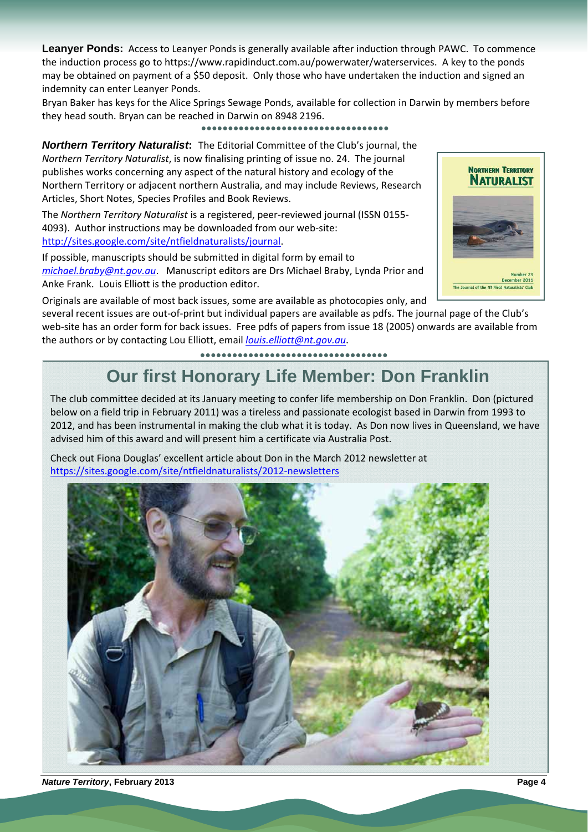**Leanyer Ponds:** Access to Leanyer Ponds is generally available after induction through PAWC. To commence the induction process go to https://www.rapidinduct.com.au/powerwater/waterservices. A key to the ponds may be obtained on payment of a \$50 deposit. Only those who have undertaken the induction and signed an indemnity can enter Leanyer Ponds.

Bryan Baker has keys for the Alice Springs Sewage Ponds, available for collection in Darwin by members before they head south. Bryan can be reached in Darwin on 8948 2196.

**●●●●●●●●●●●●●●●●●●●●●●●●●●●●●●●●●●●**

*Northern Territory Naturalist***:** The Editorial Committee of the Club's journal, the *Northern Territory Naturalist*, is now finalising printing of issue no. 24. The journal publishes works concerning any aspect of the natural history and ecology of the Northern Territory or adjacent northern Australia, and may include Reviews, Research Articles, Short Notes, Species Profiles and Book Reviews.

The *Northern Territory Naturalist* is a registered, peer‐reviewed journal (ISSN 0155‐ 4093). Author instructions may be downloaded from our web‐site: http://sites.google.com/site/ntfieldnaturalists/journal.

If possible, manuscripts should be submitted in digital form by email to *michael.braby@nt.gov.au*. Manuscript editors are Drs Michael Braby, Lynda Prior and Anke Frank. Louis Elliott is the production editor.



Originals are available of most back issues, some are available as photocopies only, and

several recent issues are out‐of‐print but individual papers are available as pdfs. The journal page of the Club's web-site has an order form for back issues. Free pdfs of papers from issue 18 (2005) onwards are available from the authors or by contacting Lou Elliott, email *louis.elliott@nt.gov.au*.

**●●●●●●●●●●●●●●●●●●●●●●●●●●●●●●●●●●●**

### **Our first Honorary Life Member: Don Franklin**

The club committee decided at its January meeting to confer life membership on Don Franklin. Don (pictured below on a field trip in February 2011) was a tireless and passionate ecologist based in Darwin from 1993 to 2012, and has been instrumental in making the club what it is today. As Don now lives in Queensland, we have advised him of this award and will present him a certificate via Australia Post.

Check out Fiona Douglas' excellent article about Don in the March 2012 newsletter at https://sites.google.com/site/ntfieldnaturalists/2012‐newsletters



*Nature Territory***, February 2013****Page 4**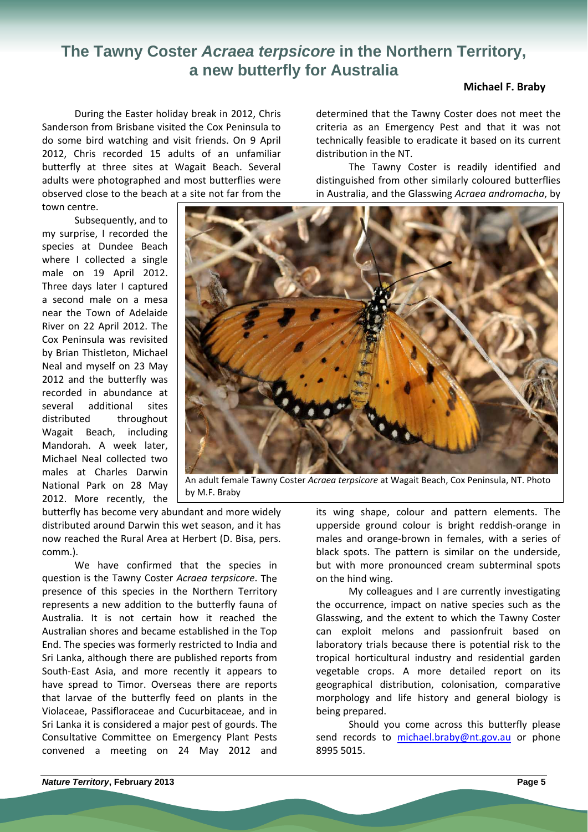### **The Tawny Coster** *Acraea terpsicore* **in the Northern Territory, a new butterfly for Australia**

#### **Michael F. Braby**

During the Easter holiday break in 2012, Chris Sanderson from Brisbane visited the Cox Peninsula to do some bird watching and visit friends. On 9 April 2012, Chris recorded 15 adults of an unfamiliar butterfly at three sites at Wagait Beach. Several adults were photographed and most butterflies were observed close to the beach at a site not far from the town centre.

Subsequently, and to my surprise, I recorded the species at Dundee Beach where I collected a single male on 19 April 2012. Three days later I captured a second male on a mesa near the Town of Adelaide River on 22 April 2012. The Cox Peninsula was revisited by Brian Thistleton, Michael Neal and myself on 23 May 2012 and the butterfly was recorded in abundance at several additional sites distributed throughout Wagait Beach, including Mandorah. A week later, Michael Neal collected two males at Charles Darwin National Park on 28 May 2012. More recently, the determined that the Tawny Coster does not meet the criteria as an Emergency Pest and that it was not technically feasible to eradicate it based on its current distribution in the NT.

The Tawny Coster is readily identified and distinguished from other similarly coloured butterflies in Australia, and the Glasswing *Acraea andromacha*, by



An adult female Tawny Coster *Acraea terpsicore* at Wagait Beach, Cox Peninsula, NT. Photo by M.F. Braby

butterfly has become very abundant and more widely distributed around Darwin this wet season, and it has now reached the Rural Area at Herbert (D. Bisa, pers. comm.).

We have confirmed that the species in question is the Tawny Coster *Acraea terpsicore*. The presence of this species in the Northern Territory represents a new addition to the butterfly fauna of Australia. It is not certain how it reached the Australian shores and became established in the Top End. The species was formerly restricted to India and Sri Lanka, although there are published reports from South‐East Asia, and more recently it appears to have spread to Timor. Overseas there are reports that larvae of the butterfly feed on plants in the Violaceae, Passifloraceae and Cucurbitaceae, and in Sri Lanka it is considered a major pest of gourds. The Consultative Committee on Emergency Plant Pests convened a meeting on 24 May 2012 and

its wing shape, colour and pattern elements. The upperside ground colour is bright reddish‐orange in males and orange‐brown in females, with a series of black spots. The pattern is similar on the underside, but with more pronounced cream subterminal spots on the hind wing.

My colleagues and I are currently investigating the occurrence, impact on native species such as the Glasswing, and the extent to which the Tawny Coster can exploit melons and passionfruit based on laboratory trials because there is potential risk to the tropical horticultural industry and residential garden vegetable crops. A more detailed report on its geographical distribution, colonisation, comparative morphology and life history and general biology is being prepared.

Should you come across this butterfly please send records to michael.braby@nt.gov.au or phone 8995 5015.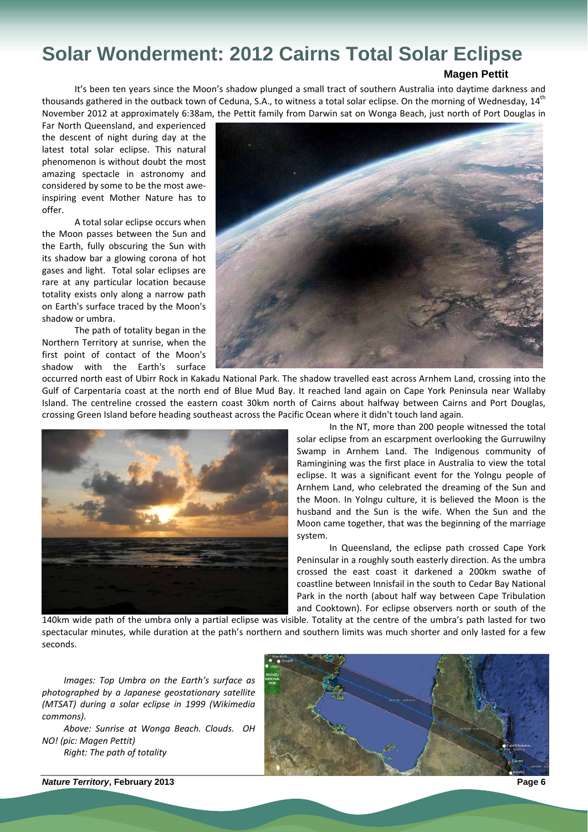# **Solar Wonderment: 2012 Cairns Total Solar Eclipse**

#### **Magen Pettit**

It's been ten years since the Moon's shadow plunged a small tract of southern Australia into daytime darkness and thousands gathered in the outback town of Ceduna, S.A., to witness a total solar eclipse. On the morning of Wednesday, 14<sup>th</sup> November 2012 at approximately 6:38am, the Pettit family from Darwin sat on Wonga Beach, just north of Port Douglas in

Far North Queensland, and experienced the descent of night during day at the latest total solar eclipse. This natural phenomenon is without doubt the most amazing spectacle in astronomy and considered by some to be the most awe‐ inspiring event Mother Nature has to offer.

A total solar eclipse occurs when the Moon passes between the Sun and the Earth, fully obscuring the Sun with its shadow bar a glowing corona of hot gases and light. Total solar eclipses are rare at any particular location because totality exists only along a narrow path on Earth's surface traced by the Moon's shadow or umbra.

The path of totality began in the Northern Territory at sunrise, when the first point of contact of the Moon's shadow with the Earth's surface



occurred north east of Ubirr Rock in Kakadu National Park. The shadow travelled east across Arnhem Land, crossing into the Gulf of Carpentaria coast at the north end of Blue Mud Bay. It reached land again on Cape York Peninsula near Wallaby Island. The centreline crossed the eastern coast 30km north of Cairns about halfway between Cairns and Port Douglas, crossing Green Island before heading southeast across the Pacific Ocean where it didn't touch land again.



In the NT, more than 200 people witnessed the total solar eclipse from an escarpment overlooking the Gurruwilny Swamp in Arnhem Land. The Indigenous community of Ramingining was the first place in Australia to view the total eclipse. It was a significant event for the Yolngu people of Arnhem Land, who celebrated the dreaming of the Sun and the Moon. In Yolngu culture, it is believed the Moon is the husband and the Sun is the wife. When the Sun and the Moon came together, that was the beginning of the marriage system.

In Queensland, the eclipse path crossed Cape York Peninsular in a roughly south easterly direction. As the umbra crossed the east coast it darkened a 200km swathe of coastline between Innisfail in the south to Cedar Bay National Park in the north (about half way between Cape Tribulation and Cooktown). For eclipse observers north or south of the

140km wide path of the umbra only a partial eclipse was visible. Totality at the centre of the umbra's path lasted for two spectacular minutes, while duration at the path's northern and southern limits was much shorter and only lasted for a few seconds.

*Images: Top Umbra on the Earth's surface as photographed by a Japanese geostationary satellite (MTSAT) during a solar eclipse in 1999 (Wikimedia commons).*

*Above: Sunrise at Wonga Beach. Clouds. OH NO! (pic: Magen Pettit) Right: The path of totality*

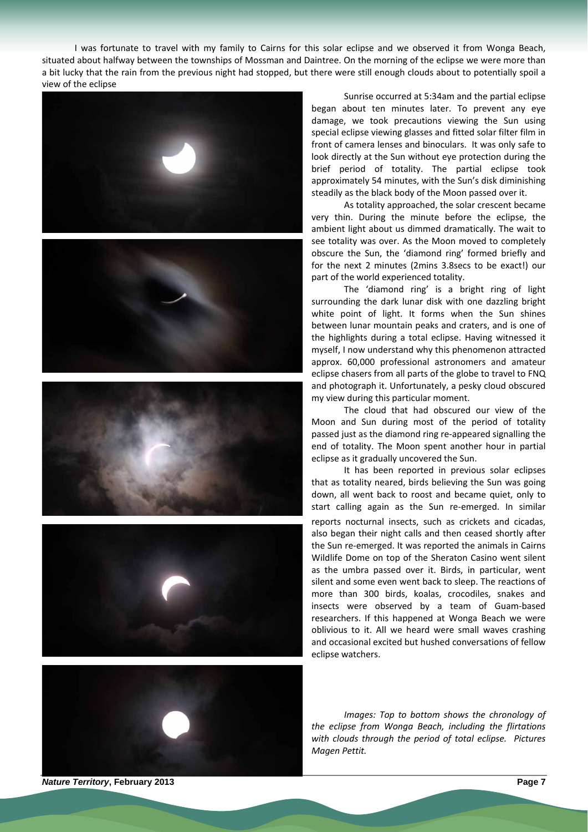I was fortunate to travel with my family to Cairns for this solar eclipse and we observed it from Wonga Beach, situated about halfway between the townships of Mossman and Daintree. On the morning of the eclipse we were more than a bit lucky that the rain from the previous night had stopped, but there were still enough clouds about to potentially spoil a view of the eclipse











Sunrise occurred at 5:34am and the partial eclipse began about ten minutes later. To prevent any eye damage, we took precautions viewing the Sun using special eclipse viewing glasses and fitted solar filter film in front of camera lenses and binoculars. It was only safe to look directly at the Sun without eye protection during the brief period of totality. The partial eclipse took approximately 54 minutes, with the Sun's disk diminishing steadily as the black body of the Moon passed over it.

As totality approached, the solar crescent became very thin. During the minute before the eclipse, the ambient light about us dimmed dramatically. The wait to see totality was over. As the Moon moved to completely obscure the Sun, the 'diamond ring' formed briefly and for the next 2 minutes (2mins 3.8secs to be exact!) our part of the world experienced totality.

The 'diamond ring' is a bright ring of light surrounding the dark lunar disk with one dazzling bright white point of light. It forms when the Sun shines between lunar mountain peaks and craters, and is one of the highlights during a total eclipse. Having witnessed it myself, I now understand why this phenomenon attracted approx. 60,000 professional astronomers and amateur eclipse chasers from all parts of the globe to travel to FNQ and photograph it. Unfortunately, a pesky cloud obscured my view during this particular moment.

The cloud that had obscured our view of the Moon and Sun during most of the period of totality passed just as the diamond ring re‐appeared signalling the end of totality. The Moon spent another hour in partial eclipse as it gradually uncovered the Sun.

It has been reported in previous solar eclipses that as totality neared, birds believing the Sun was going down, all went back to roost and became quiet, only to start calling again as the Sun re-emerged. In similar reports nocturnal insects, such as crickets and cicadas, also began their night calls and then ceased shortly after the Sun re‐emerged. It was reported the animals in Cairns Wildlife Dome on top of the Sheraton Casino went silent as the umbra passed over it. Birds, in particular, went silent and some even went back to sleep. The reactions of more than 300 birds, koalas, crocodiles, snakes and insects were observed by a team of Guam‐based researchers. If this happened at Wonga Beach we were oblivious to it. All we heard were small waves crashing and occasional excited but hushed conversations of fellow eclipse watchers.

*Images: Top to bottom shows the chronology of the eclipse from Wonga Beach, including the flirtations with clouds through the period of total eclipse. Pictures Magen Pettit.*

*Nature Territory***, February 2013****Page 7**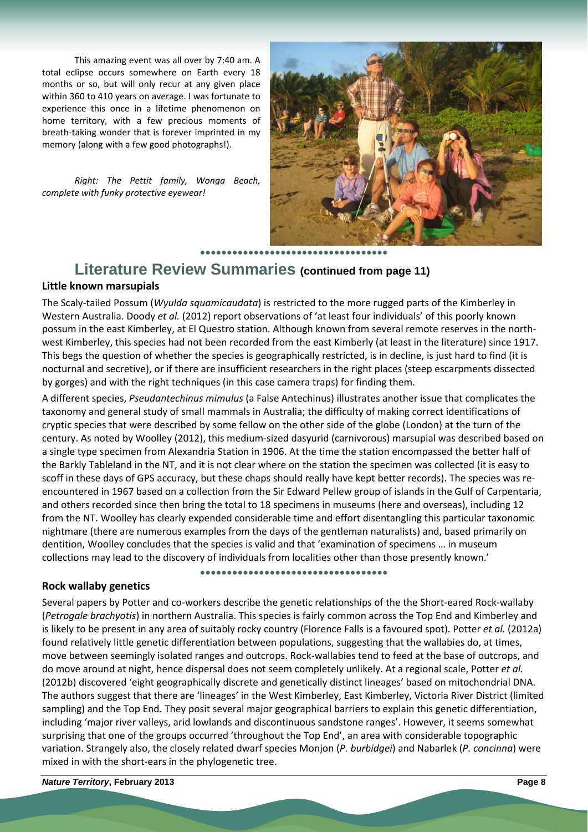This amazing event was all over by 7:40 am. A total eclipse occurs somewhere on Earth every 18 months or so, but will only recur at any given place within 360 to 410 years on average. I was fortunate to experience this once in a lifetime phenomenon on home territory, with a few precious moments of breath‐taking wonder that is forever imprinted in my memory (along with a few good photographs!).

*Right: The Pettit family, Wonga Beach, complete with funky protective eyewear!*



**Literature Review Summaries (continued from page 11)**

#### **Little known marsupials**

The Scaly‐tailed Possum (*Wyulda squamicaudata*) is restricted to the more rugged parts of the Kimberley in Western Australia. Doody *et al.* (2012) report observations of 'at least four individuals' of this poorly known possum in the east Kimberley, at El Questro station. Although known from several remote reserves in the north‐ west Kimberley, this species had not been recorded from the east Kimberly (at least in the literature) since 1917. This begs the question of whether the species is geographically restricted, is in decline, is just hard to find (it is nocturnal and secretive), or if there are insufficient researchers in the right places (steep escarpments dissected by gorges) and with the right techniques (in this case camera traps) for finding them.

A different species, *Pseudantechinus mimulus* (a False Antechinus) illustrates another issue that complicates the taxonomy and general study of small mammals in Australia; the difficulty of making correct identifications of cryptic species that were described by some fellow on the other side of the globe (London) at the turn of the century. As noted by Woolley (2012), this medium‐sized dasyurid (carnivorous) marsupial was described based on a single type specimen from Alexandria Station in 1906. At the time the station encompassed the better half of the Barkly Tableland in the NT, and it is not clear where on the station the specimen was collected (it is easy to scoff in these days of GPS accuracy, but these chaps should really have kept better records). The species was reencountered in 1967 based on a collection from the Sir Edward Pellew group of islands in the Gulf of Carpentaria, and others recorded since then bring the total to 18 specimens in museums (here and overseas), including 12 from the NT. Woolley has clearly expended considerable time and effort disentangling this particular taxonomic nightmare (there are numerous examples from the days of the gentleman naturalists) and, based primarily on dentition, Woolley concludes that the species is valid and that 'examination of specimens … in museum collections may lead to the discovery of individuals from localities other than those presently known.'

#### **Rock wallaby genetics**

**●●●●●●●●●●●●●●●●●●●●●●●●●●●●●●●●●●●**

Several papers by Potter and co-workers describe the genetic relationships of the the Short-eared Rock-wallaby (*Petrogale brachyotis*) in northern Australia. This species is fairly common across the Top End and Kimberley and is likely to be present in any area of suitably rocky country (Florence Falls is a favoured spot). Potter *et al.* (2012a) found relatively little genetic differentiation between populations, suggesting that the wallabies do, at times, move between seemingly isolated ranges and outcrops. Rock‐wallabies tend to feed at the base of outcrops, and do move around at night, hence dispersal does not seem completely unlikely. At a regional scale, Potter *et al.* (2012b) discovered 'eight geographically discrete and genetically distinct lineages' based on mitochondrial DNA. The authors suggest that there are 'lineages' in the West Kimberley, East Kimberley, Victoria River District (limited sampling) and the Top End. They posit several major geographical barriers to explain this genetic differentiation, including 'major river valleys, arid lowlands and discontinuous sandstone ranges'. However, it seems somewhat surprising that one of the groups occurred 'throughout the Top End', an area with considerable topographic variation. Strangely also, the closely related dwarf species Monjon (*P. burbidgei*) and Nabarlek (*P. concinna*) were mixed in with the short‐ears in the phylogenetic tree.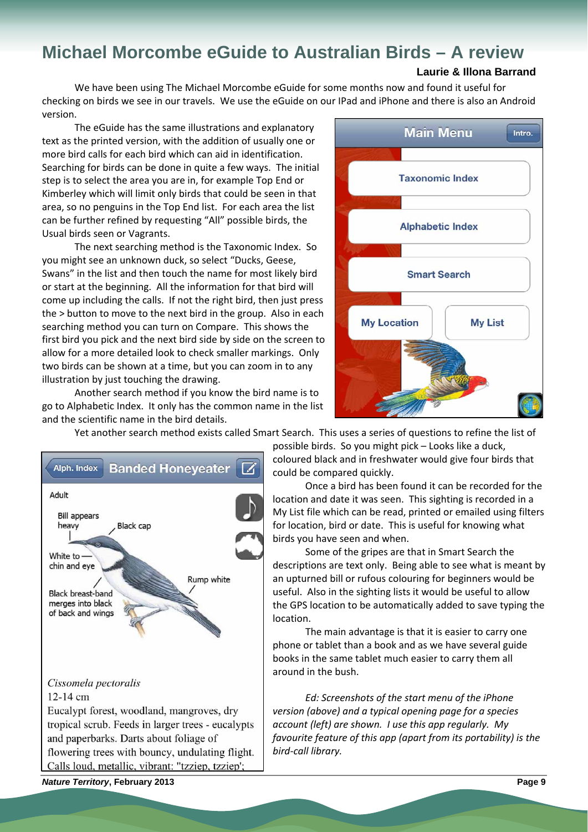### **Michael Morcombe eGuide to Australian Birds – A review**

#### **Laurie & Illona Barrand**

We have been using The Michael Morcombe eGuide for some months now and found it useful for checking on birds we see in our travels. We use the eGuide on our IPad and iPhone and there is also an Android version.

The eGuide has the same illustrations and explanatory text as the printed version, with the addition of usually one or more bird calls for each bird which can aid in identification. Searching for birds can be done in quite a few ways. The initial step is to select the area you are in, for example Top End or Kimberley which will limit only birds that could be seen in that area, so no penguins in the Top End list. For each area the list can be further refined by requesting "All" possible birds, the Usual birds seen or Vagrants.

The next searching method is the Taxonomic Index. So you might see an unknown duck, so select "Ducks, Geese, Swans" in the list and then touch the name for most likely bird or start at the beginning. All the information for that bird will come up including the calls. If not the right bird, then just press the > button to move to the next bird in the group. Also in each searching method you can turn on Compare. This shows the first bird you pick and the next bird side by side on the screen to allow for a more detailed look to check smaller markings. Only two birds can be shown at a time, but you can zoom in to any illustration by just touching the drawing.

Another search method if you know the bird name is to go to Alphabetic Index. It only has the common name in the list and the scientific name in the bird details.



Yet another search method exists called Smart Search. This uses a series of questions to refine the list of



possible birds. So you might pick – Looks like a duck, coloured black and in freshwater would give four birds that could be compared quickly.

Once a bird has been found it can be recorded for the location and date it was seen. This sighting is recorded in a My List file which can be read, printed or emailed using filters for location, bird or date. This is useful for knowing what birds you have seen and when.

Some of the gripes are that in Smart Search the descriptions are text only. Being able to see what is meant by an upturned bill or rufous colouring for beginners would be useful. Also in the sighting lists it would be useful to allow the GPS location to be automatically added to save typing the location.

The main advantage is that it is easier to carry one phone or tablet than a book and as we have several guide books in the same tablet much easier to carry them all around in the bush.

*Ed: Screenshots of the start menu of the iPhone version (above) and a typical opening page for a species account (left) are shown. I use this app regularly. My favourite feature of this app (apart from its portability) is the bird‐call library.*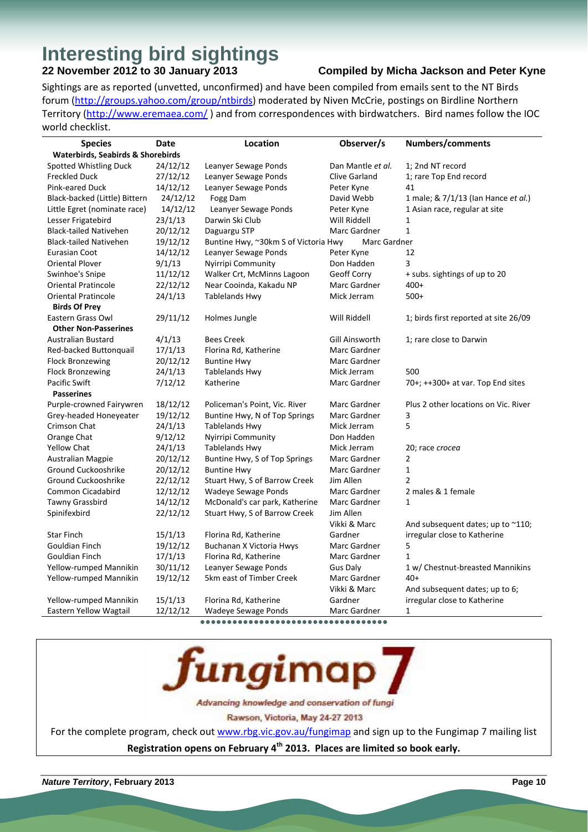# **Interesting bird sightings**<br>22 November 2012 to 30 January 2013

#### **22 Compiled by Micha Jackson and Peter Kyne**

Sightings are as reported (unvetted, unconfirmed) and have been compiled from emails sent to the NT Birds forum (http://groups.yahoo.com/group/ntbirds) moderated by Niven McCrie, postings on Birdline Northern Territory (http://www.eremaea.com/) and from correspondences with birdwatchers. Bird names follow the IOC world checklist.

| <b>Species</b>                               | Date     | Location                             | Observer/s           | Numbers/comments                      |  |
|----------------------------------------------|----------|--------------------------------------|----------------------|---------------------------------------|--|
| <b>Waterbirds, Seabirds &amp; Shorebirds</b> |          |                                      |                      |                                       |  |
| Spotted Whistling Duck                       | 24/12/12 | Leanyer Sewage Ponds                 | Dan Mantle et al.    | 1; 2nd NT record                      |  |
| <b>Freckled Duck</b>                         | 27/12/12 | Leanyer Sewage Ponds                 | <b>Clive Garland</b> | 1; rare Top End record                |  |
| <b>Pink-eared Duck</b>                       | 14/12/12 | Leanyer Sewage Ponds                 | Peter Kyne           | 41                                    |  |
| Black-backed (Little) Bittern                | 24/12/12 | Fogg Dam                             | David Webb           | 1 male; & 7/1/13 (Ian Hance et al.)   |  |
| Little Egret (nominate race)                 | 14/12/12 | Leanyer Sewage Ponds                 | Peter Kyne           | 1 Asian race, regular at site         |  |
| Lesser Frigatebird                           | 23/1/13  | Darwin Ski Club                      | Will Riddell         | 1                                     |  |
| <b>Black-tailed Nativehen</b>                | 20/12/12 | Daguargu STP                         | Marc Gardner         | $\mathbf{1}$                          |  |
| <b>Black-tailed Nativehen</b>                | 19/12/12 | Buntine Hwy, ~30km S of Victoria Hwy | Marc Gardner         |                                       |  |
| Eurasian Coot                                | 14/12/12 | Leanyer Sewage Ponds                 | Peter Kyne           | 12                                    |  |
| <b>Oriental Plover</b>                       | 9/1/13   | Nyirripi Community                   | Don Hadden           | 3                                     |  |
| Swinhoe's Snipe                              | 11/12/12 | Walker Crt, McMinns Lagoon           | Geoff Corry          | + subs. sightings of up to 20         |  |
| <b>Oriental Pratincole</b>                   | 22/12/12 | Near Cooinda, Kakadu NP              | Marc Gardner         | $400+$                                |  |
| <b>Oriental Pratincole</b>                   | 24/1/13  | <b>Tablelands Hwy</b>                | Mick Jerram          | $500+$                                |  |
| <b>Birds Of Prey</b>                         |          |                                      |                      |                                       |  |
| Eastern Grass Owl                            | 29/11/12 | Holmes Jungle                        | Will Riddell         | 1; birds first reported at site 26/09 |  |
| <b>Other Non-Passerines</b>                  |          |                                      |                      |                                       |  |
| <b>Australian Bustard</b>                    | 4/1/13   | <b>Bees Creek</b>                    | Gill Ainsworth       | 1; rare close to Darwin               |  |
| Red-backed Buttonguail                       | 17/1/13  | Florina Rd, Katherine                | Marc Gardner         |                                       |  |
| <b>Flock Bronzewing</b>                      | 20/12/12 | <b>Buntine Hwy</b>                   | Marc Gardner         |                                       |  |
| <b>Flock Bronzewing</b>                      | 24/1/13  | <b>Tablelands Hwy</b>                | Mick Jerram          | 500                                   |  |
| <b>Pacific Swift</b>                         | 7/12/12  | Katherine                            | Marc Gardner         | $70+; ++300+$ at var. Top End sites   |  |
| <b>Passerines</b>                            |          |                                      |                      |                                       |  |
| Purple-crowned Fairywren                     | 18/12/12 | Policeman's Point, Vic. River        | Marc Gardner         | Plus 2 other locations on Vic. River  |  |
| Grey-headed Honeyeater                       | 19/12/12 | Buntine Hwy, N of Top Springs        | Marc Gardner         | 3                                     |  |
| Crimson Chat                                 | 24/1/13  | <b>Tablelands Hwy</b>                | Mick Jerram          | 5                                     |  |
| Orange Chat                                  | 9/12/12  | Nyirripi Community                   | Don Hadden           |                                       |  |
| <b>Yellow Chat</b>                           | 24/1/13  | <b>Tablelands Hwy</b>                | Mick Jerram          | 20; race crocea                       |  |
| <b>Australian Magpie</b>                     | 20/12/12 | Buntine Hwy, S of Top Springs        | Marc Gardner         | 2                                     |  |
| Ground Cuckooshrike                          | 20/12/12 | <b>Buntine Hwy</b>                   | Marc Gardner         | $\mathbf{1}$                          |  |
| Ground Cuckooshrike                          | 22/12/12 | Stuart Hwy, S of Barrow Creek        | Jim Allen            | $\mathfrak{p}$                        |  |
| Common Cicadabird                            | 12/12/12 | Wadeye Sewage Ponds                  | Marc Gardner         | 2 males & 1 female                    |  |
| Tawny Grassbird                              | 14/12/12 | McDonald's car park, Katherine       | Marc Gardner         | $\mathbf{1}$                          |  |
| Spinifexbird                                 | 22/12/12 | Stuart Hwy, S of Barrow Creek        | Jim Allen            |                                       |  |
|                                              |          |                                      | Vikki & Marc         | And subsequent dates; up to $~110$ ;  |  |
| <b>Star Finch</b>                            | 15/1/13  | Florina Rd, Katherine                | Gardner              | irregular close to Katherine          |  |
| Gouldian Finch                               | 19/12/12 | Buchanan X Victoria Hwys             | Marc Gardner         | 5                                     |  |
| Gouldian Finch                               | 17/1/13  | Florina Rd, Katherine                | Marc Gardner         | $\mathbf{1}$                          |  |
| Yellow-rumped Mannikin                       | 30/11/12 | Leanyer Sewage Ponds                 | <b>Gus Daly</b>      | 1 w/ Chestnut-breasted Mannikins      |  |
| Yellow-rumped Mannikin                       | 19/12/12 | 5km east of Timber Creek             | Marc Gardner         | $40+$                                 |  |
|                                              |          |                                      | Vikki & Marc         | And subsequent dates; up to 6;        |  |
| Yellow-rumped Mannikin                       | 15/1/13  | Florina Rd, Katherine                | Gardner              | irregular close to Katherine          |  |
| Eastern Yellow Wagtail                       | 12/12/12 | Wadeye Sewage Ponds                  | Marc Gardner         | 1                                     |  |

**●●●●●●●●●●●●●●●●●●●●●●●●●●●●●●●●●●●**



For the complete program, check out www.rbg.vic.gov.au/fungimap and sign up to the Fungimap 7 mailing list **Registration opens on February 4th 2013. Places are limited so book early.**